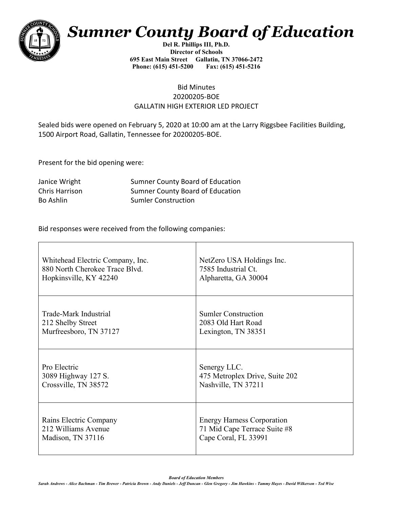

## *Sumner County Board of Education*

**Del R. Phillips III, Ph.D. Director of Schools 695 East Main Street Gallatin, TN 37066-2472 Phone: (615) 451-5200 Fax: (615) 451-5216** 

## Bid Minutes 20200205-BOE GALLATIN HIGH EXTERIOR LED PROJECT

Sealed bids were opened on February 5, 2020 at 10:00 am at the Larry Riggsbee Facilities Building, 1500 Airport Road, Gallatin, Tennessee for 20200205-BOE.

Present for the bid opening were:

Janice Wright **Sumner County Board of Education** Chris Harrison Sumner County Board of Education Bo Ashlin Sumler Construction

Bid responses were received from the following companies:

| Whitehead Electric Company, Inc. | NetZero USA Holdings Inc.         |
|----------------------------------|-----------------------------------|
| 880 North Cherokee Trace Blvd.   | 7585 Industrial Ct.               |
| Hopkinsville, KY 42240           | Alpharetta, GA 30004              |
| Trade-Mark Industrial            | <b>Sumler Construction</b>        |
| 212 Shelby Street                | 2083 Old Hart Road                |
| Murfreesboro, TN 37127           | Lexington, TN 38351               |
| Pro Electric                     | Senergy LLC.                      |
| 3089 Highway 127 S.              | 475 Metroplex Drive, Suite 202    |
| Crossville, TN 38572             | Nashville, TN 37211               |
| Rains Electric Company           | <b>Energy Harness Corporation</b> |
| 212 Williams Avenue              | 71 Mid Cape Terrace Suite #8      |
| Madison, TN 37116                | Cape Coral, FL 33991              |